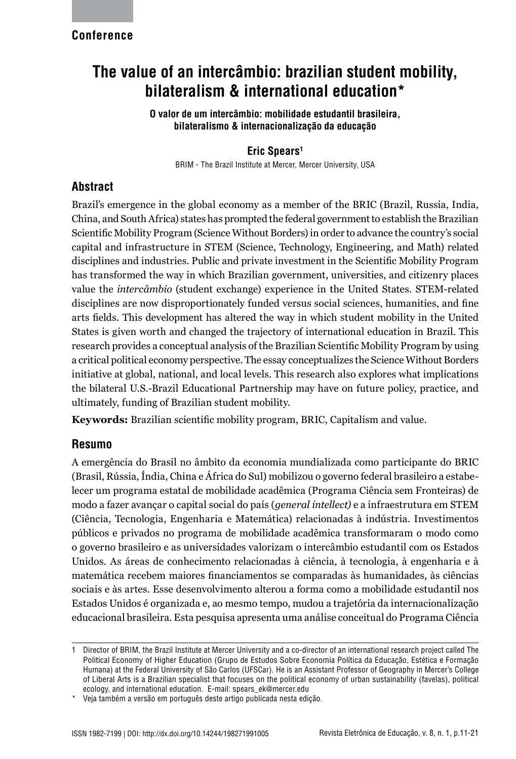## **Conference**

# **The value of an intercâmbio: brazilian student mobility, bilateralism & international education\***

**O valor de um intercâmbio: mobilidade estudantil brasileira, bilateralismo & internacionalização da educação**

## **Eric Spears1**

BRIM - The Brazil Institute at Mercer, Mercer University, USA

# **Abstract**

Brazil's emergence in the global economy as a member of the BRIC (Brazil, Russia, India, China, and South Africa) states has prompted the federal government to establish the Brazilian Scientific Mobility Program (Science Without Borders) in order to advance the country's social capital and infrastructure in STEM (Science, Technology, Engineering, and Math) related disciplines and industries. Public and private investment in the Scientific Mobility Program has transformed the way in which Brazilian government, universities, and citizenry places value the *intercâmbio* (student exchange) experience in the United States. STEM-related disciplines are now disproportionately funded versus social sciences, humanities, and fine arts fields. This development has altered the way in which student mobility in the United States is given worth and changed the trajectory of international education in Brazil. This research provides a conceptual analysis of the Brazilian Scientific Mobility Program by using a critical political economy perspective. The essay conceptualizes the Science Without Borders initiative at global, national, and local levels. This research also explores what implications the bilateral U.S.-Brazil Educational Partnership may have on future policy, practice, and ultimately, funding of Brazilian student mobility.

**Keywords:** Brazilian scientific mobility program, BRIC, Capitalism and value.

## **Resumo**

A emergência do Brasil no âmbito da economia mundializada como participante do BRIC (Brasil, Rússia, Índia, China e África do Sul) mobilizou o governo federal brasileiro a estabelecer um programa estatal de mobilidade acadêmica (Programa Ciência sem Fronteiras) de modo a fazer avançar o capital social do país (*general intellect)* e a infraestrutura em STEM (Ciência, Tecnologia, Engenharia e Matemática) relacionadas à indústria. Investimentos públicos e privados no programa de mobilidade acadêmica transformaram o modo como o governo brasileiro e as universidades valorizam o intercâmbio estudantil com os Estados Unidos. As áreas de conhecimento relacionadas à ciência, à tecnologia, à engenharia e à matemática recebem maiores financiamentos se comparadas às humanidades, às ciências sociais e às artes. Esse desenvolvimento alterou a forma como a mobilidade estudantil nos Estados Unidos é organizada e, ao mesmo tempo, mudou a trajetória da internacionalização educacional brasileira. Esta pesquisa apresenta uma análise conceitual do Programa Ciência

<sup>1</sup> Director of BRIM, the Brazil Institute at Mercer University and a co-director of an international research project called The Political Economy of Higher Education (Grupo de Estudos Sobre Economia Política da Educação, Estética e Formação Humana) at the Federal University of São Carlos (UFSCar). He is an Assistant Professor of Geography in Mercer's College of Liberal Arts is a Brazilian specialist that focuses on the political economy of urban sustainability (favelas), political ecology, and international education. E-mail: spears\_ek@mercer.edu

Veja também a versão em português deste artigo publicada nesta edição.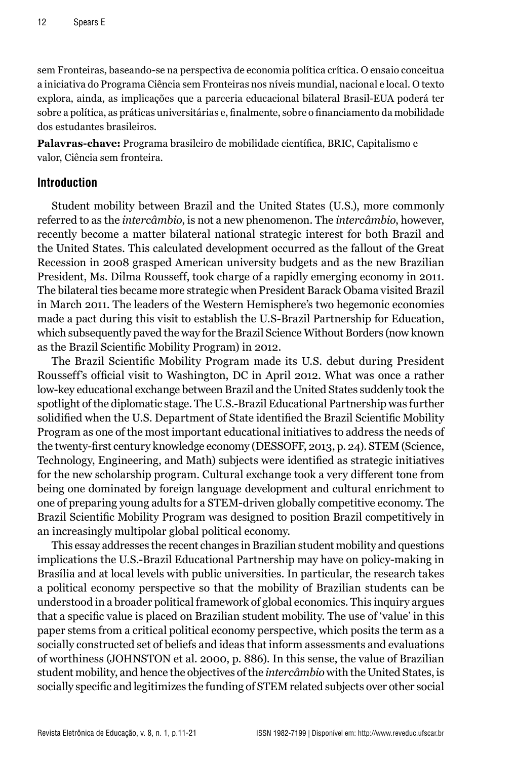sem Fronteiras, baseando-se na perspectiva de economia política crítica. O ensaio conceitua a iniciativa do Programa Ciência sem Fronteiras nos níveis mundial, nacional e local. O texto explora, ainda, as implicações que a parceria educacional bilateral Brasil-EUA poderá ter sobre a política, as práticas universitárias e, finalmente, sobre o financiamento da mobilidade dos estudantes brasileiros.

**Palavras-chave:** Programa brasileiro de mobilidade científica, BRIC, Capitalismo e valor, Ciência sem fronteira.

## **Introduction**

Student mobility between Brazil and the United States (U.S.), more commonly referred to as the *intercâmbio*, is not a new phenomenon. The *intercâmbio*, however, recently become a matter bilateral national strategic interest for both Brazil and the United States. This calculated development occurred as the fallout of the Great Recession in 2008 grasped American university budgets and as the new Brazilian President, Ms. Dilma Rousseff, took charge of a rapidly emerging economy in 2011. The bilateral ties became more strategic when President Barack Obama visited Brazil in March 2011. The leaders of the Western Hemisphere's two hegemonic economies made a pact during this visit to establish the U.S-Brazil Partnership for Education, which subsequently paved the way for the Brazil Science Without Borders (now known as the Brazil Scientific Mobility Program) in 2012.

The Brazil Scientific Mobility Program made its U.S. debut during President Rousseff's official visit to Washington, DC in April 2012. What was once a rather low-key educational exchange between Brazil and the United States suddenly took the spotlight of the diplomatic stage. The U.S.-Brazil Educational Partnership was further solidified when the U.S. Department of State identified the Brazil Scientific Mobility Program as one of the most important educational initiatives to address the needs of the twenty-first century knowledge economy (DESSOFF, 2013, p. 24). STEM (Science, Technology, Engineering, and Math) subjects were identified as strategic initiatives for the new scholarship program. Cultural exchange took a very different tone from being one dominated by foreign language development and cultural enrichment to one of preparing young adults for a STEM-driven globally competitive economy. The Brazil Scientific Mobility Program was designed to position Brazil competitively in an increasingly multipolar global political economy.

This essay addresses the recent changes in Brazilian student mobility and questions implications the U.S.-Brazil Educational Partnership may have on policy-making in Brasília and at local levels with public universities. In particular, the research takes a political economy perspective so that the mobility of Brazilian students can be understood in a broader political framework of global economics. This inquiry argues that a specific value is placed on Brazilian student mobility. The use of 'value' in this paper stems from a critical political economy perspective, which posits the term as a socially constructed set of beliefs and ideas that inform assessments and evaluations of worthiness (JOHNSTON et al. 2000, p. 886). In this sense, the value of Brazilian student mobility, and hence the objectives of the *intercâmbio* with the United States, is socially specific and legitimizes the funding of STEM related subjects over other social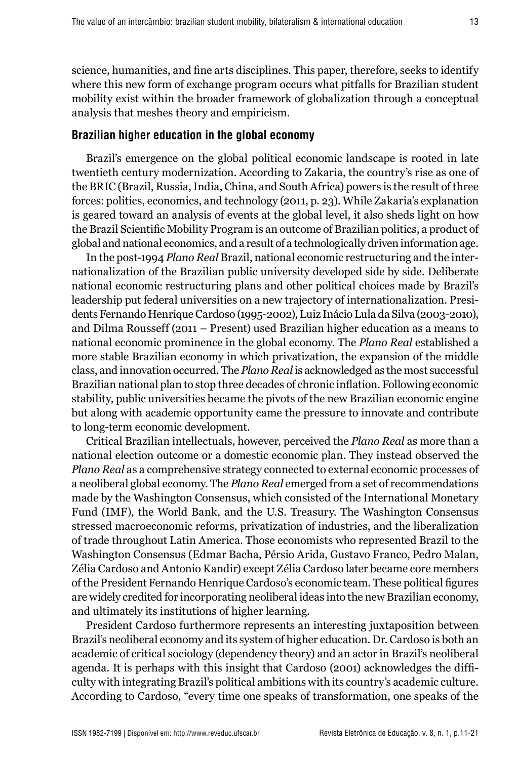science, humanities, and fine arts disciplines. This paper, therefore, seeks to identify where this new form of exchange program occurs what pitfalls for Brazilian student mobility exist within the broader framework of globalization through a conceptual analysis that meshes theory and empiricism.

#### **Brazilian higher education in the global economy**

Brazil's emergence on the global political economic landscape is rooted in late twentieth century modernization. According to Zakaria, the country's rise as one of the BRIC (Brazil, Russia, India, China, and South Africa) powers is the result of three forces: politics, economics, and technology (2011, p. 23). While Zakaria's explanation is geared toward an analysis of events at the global level, it also sheds light on how the Brazil Scientific Mobility Program is an outcome of Brazilian politics, a product of global and national economics, and a result of a technologically driven information age.

In the post-1994 *Plano Real* Brazil, national economic restructuring and the internationalization of the Brazilian public university developed side by side. Deliberate national economic restructuring plans and other political choices made by Brazil's leadership put federal universities on a new trajectory of internationalization. Presidents Fernando Henrique Cardoso (1995-2002), Luiz Inácio Lula da Silva (2003-2010), and Dilma Rousseff (2011 – Present) used Brazilian higher education as a means to national economic prominence in the global economy. The *Plano Real* established a more stable Brazilian economy in which privatization, the expansion of the middle class, and innovation occurred. The *Plano Real* is acknowledged as the most successful Brazilian national plan to stop three decades of chronic inflation. Following economic stability, public universities became the pivots of the new Brazilian economic engine but along with academic opportunity came the pressure to innovate and contribute to long-term economic development.

Critical Brazilian intellectuals, however, perceived the *Plano Real* as more than a national election outcome or a domestic economic plan. They instead observed the *Plano Real* as a comprehensive strategy connected to external economic processes of a neoliberal global economy. The *Plano Real* emerged from a set of recommendations made by the Washington Consensus, which consisted of the International Monetary Fund (IMF), the World Bank, and the U.S. Treasury. The Washington Consensus stressed macroeconomic reforms, privatization of industries, and the liberalization of trade throughout Latin America. Those economists who represented Brazil to the Washington Consensus (Edmar Bacha, Pérsio Arida, Gustavo Franco, Pedro Malan, Zélia Cardoso and Antonio Kandir) except Zélia Cardoso later became core members of the President Fernando Henrique Cardoso's economic team. These political figures are widely credited for incorporating neoliberal ideas into the new Brazilian economy, and ultimately its institutions of higher learning.

President Cardoso furthermore represents an interesting juxtaposition between Brazil's neoliberal economy and its system of higher education. Dr. Cardoso is both an academic of critical sociology (dependency theory) and an actor in Brazil's neoliberal agenda. It is perhaps with this insight that Cardoso (2001) acknowledges the difficulty with integrating Brazil's political ambitions with its country's academic culture. According to Cardoso, "every time one speaks of transformation, one speaks of the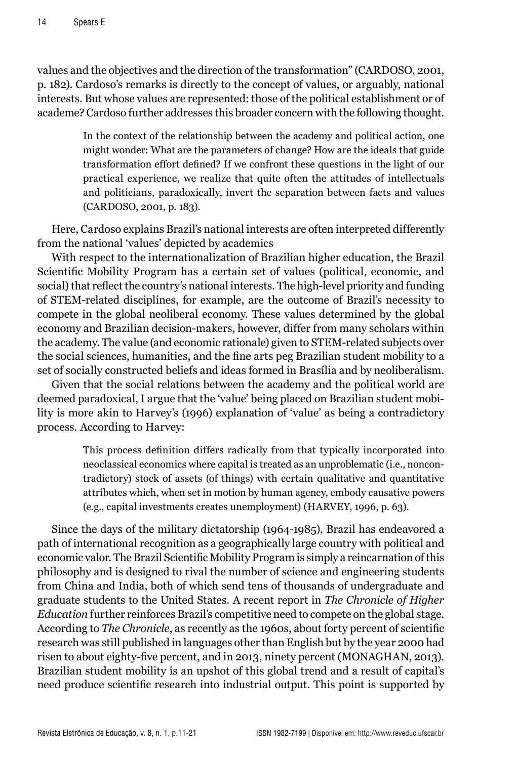values and the objectives and the direction of the transformation" (CARDOSO, 2001, p. 182). Cardoso's remarks is directly to the concept of values, or arguably, national interests. But whose values are represented: those of the political establishment or of academe? Cardoso further addresses this broader concern with the following thought.

> In the context of the relationship between the academy and political action, one might wonder: What are the parameters of change? How are the ideals that guide transformation effort defined? If we confront these questions in the light of our practical experience, we realize that quite often the attitudes of intellectuals and politicians, paradoxically, invert the separation between facts and values (CARDOSO, 2001, p. 183).

Here, Cardoso explains Brazil's national interests are often interpreted differently from the national 'values' depicted by academics

With respect to the internationalization of Brazilian higher education, the Brazil Scientific Mobility Program has a certain set of values (political, economic, and social) that reflect the country's national interests. The high-level priority and funding of STEM-related disciplines, for example, are the outcome of Brazil's necessity to compete in the global neoliberal economy. These values determined by the global economy and Brazilian decision-makers, however, differ from many scholars within the academy. The value (and economic rationale) given to STEM-related subjects over the social sciences, humanities, and the fine arts peg Brazilian student mobility to a set of socially constructed beliefs and ideas formed in Brasília and by neoliberalism.

Given that the social relations between the academy and the political world are deemed paradoxical, I argue that the 'value' being placed on Brazilian student mobility is more akin to Harvey's (1996) explanation of 'value' as being a contradictory process. According to Harvey:

> This process definition differs radically from that typically incorporated into neoclassical economics where capital is treated as an unproblematic (i.e., noncontradictory) stock of assets (of things) with certain qualitative and quantitative attributes which, when set in motion by human agency, embody causative powers (e.g., capital investments creates unemployment) (HARVEY, 1996, p. 63).

Since the days of the military dictatorship (1964-1985), Brazil has endeavored a path of international recognition as a geographically large country with political and economic valor. The Brazil Scientific Mobility Program is simply a reincarnation of this philosophy and is designed to rival the number of science and engineering students from China and India, both of which send tens of thousands of undergraduate and graduate students to the United States. A recent report in *The Chronicle of Higher Education* further reinforces Brazil's competitive need to compete on the global stage. According to *The Chronicle*, as recently as the 1960s, about forty percent of scientific research was still published in languages other than English but by the year 2000 had risen to about eighty-five percent, and in 2013, ninety percent (MONAGHAN, 2013). Brazilian student mobility is an upshot of this global trend and a result of capital's need produce scientific research into industrial output. This point is supported by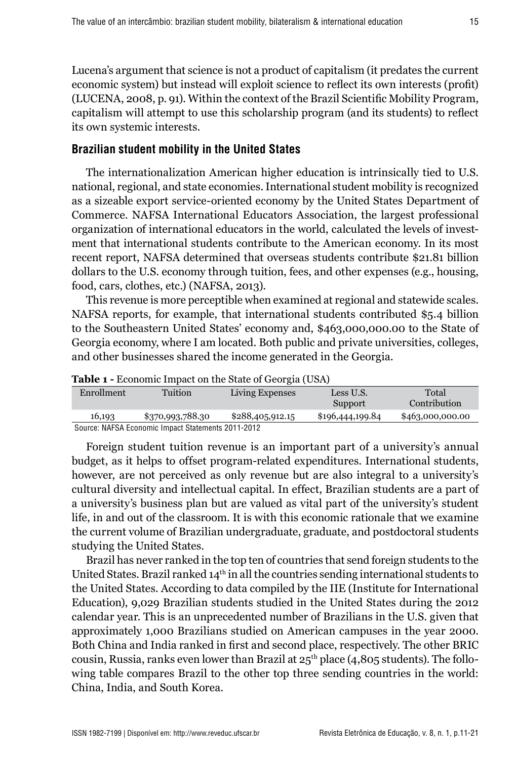Lucena's argument that science is not a product of capitalism (it predates the current economic system) but instead will exploit science to reflect its own interests (profit) (LUCENA, 2008, p. 91). Within the context of the Brazil Scientific Mobility Program, capitalism will attempt to use this scholarship program (and its students) to reflect its own systemic interests.

## **Brazilian student mobility in the United States**

The internationalization American higher education is intrinsically tied to U.S. national, regional, and state economies. International student mobility is recognized as a sizeable export service-oriented economy by the United States Department of Commerce. NAFSA International Educators Association, the largest professional organization of international educators in the world, calculated the levels of investment that international students contribute to the American economy. In its most recent report, NAFSA determined that overseas students contribute \$21.81 billion dollars to the U.S. economy through tuition, fees, and other expenses (e.g., housing, food, cars, clothes, etc.) (NAFSA, 2013).

This revenue is more perceptible when examined at regional and statewide scales. NAFSA reports, for example, that international students contributed \$5.4 billion to the Southeastern United States' economy and, \$463,000,000.00 to the State of Georgia economy, where I am located. Both public and private universities, colleges, and other businesses shared the income generated in the Georgia.

| <b>TWOTE</b> 1 Decretion 1 degree on the state of Secretary (SSTI) |                  |                  |                  |                  |  |  |  |
|--------------------------------------------------------------------|------------------|------------------|------------------|------------------|--|--|--|
| <b>Enrollment</b>                                                  | <b>Tuition</b>   | Living Expenses  | Less U.S.        | Total            |  |  |  |
|                                                                    |                  |                  | Support          | Contribution     |  |  |  |
| 16,193                                                             | \$370,993,788.30 | \$288,405,912.15 | \$196,444,199.84 | \$463,000,000.00 |  |  |  |
| Source: NAFSA Economic Impact Statements 2011-2012                 |                  |                  |                  |                  |  |  |  |

**Table 1 -** Economic Impact on the State of Georgia (USA)

Foreign student tuition revenue is an important part of a university's annual budget, as it helps to offset program-related expenditures. International students, however, are not perceived as only revenue but are also integral to a university's cultural diversity and intellectual capital. In effect, Brazilian students are a part of a university's business plan but are valued as vital part of the university's student life, in and out of the classroom. It is with this economic rationale that we examine the current volume of Brazilian undergraduate, graduate, and postdoctoral students studying the United States.

Brazil has never ranked in the top ten of countries that send foreign students to the United States. Brazil ranked  $14<sup>th</sup>$  in all the countries sending international students to the United States. According to data compiled by the IIE (Institute for International Education), 9,029 Brazilian students studied in the United States during the 2012 calendar year. This is an unprecedented number of Brazilians in the U.S. given that approximately 1,000 Brazilians studied on American campuses in the year 2000. Both China and India ranked in first and second place, respectively. The other BRIC cousin, Russia, ranks even lower than Brazil at  $25<sup>th</sup>$  place (4,805 students). The following table compares Brazil to the other top three sending countries in the world: China, India, and South Korea.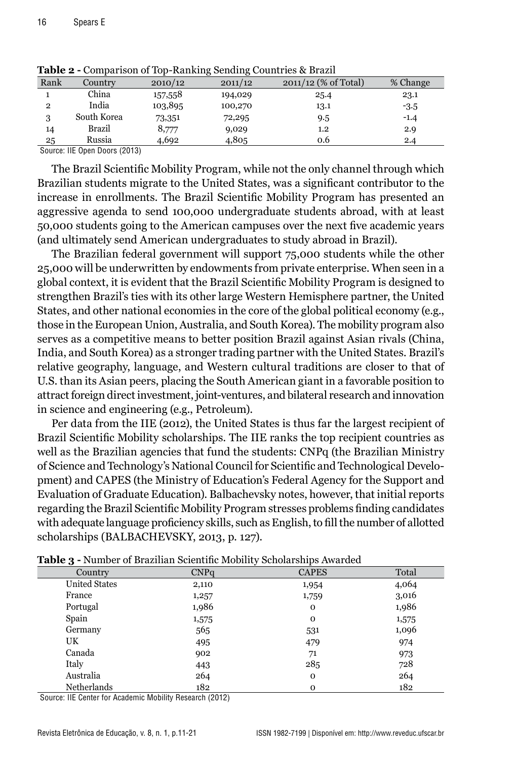| Rank           | Country     | 2010/12 | 2011/12 | 2011/12 (% of Total) | % Change |
|----------------|-------------|---------|---------|----------------------|----------|
|                | China       | 157,558 | 194,029 | 25.4                 | 23.1     |
| $\overline{2}$ | India       | 103,895 | 100,270 | 13.1                 | $-3.5$   |
| 3              | South Korea | 73,351  | 72,295  | 9.5                  | $-1.4$   |
| 14             | Brazil      | 8,777   | 9,029   | $1.2\,$              | 2.9      |
| 25             | Russia      | 4,692   | 4,805   | 0.6                  | 2.4      |

**Table 2 -** Comparison of Top-Ranking Sending Countries & Brazil

Source: IIE Open Doors (2013)

The Brazil Scientific Mobility Program, while not the only channel through which Brazilian students migrate to the United States, was a significant contributor to the increase in enrollments. The Brazil Scientific Mobility Program has presented an aggressive agenda to send 100,000 undergraduate students abroad, with at least 50,000 students going to the American campuses over the next five academic years (and ultimately send American undergraduates to study abroad in Brazil).

The Brazilian federal government will support 75,000 students while the other 25,000 will be underwritten by endowments from private enterprise. When seen in a global context, it is evident that the Brazil Scientific Mobility Program is designed to strengthen Brazil's ties with its other large Western Hemisphere partner, the United States, and other national economies in the core of the global political economy (e.g., those in the European Union, Australia, and South Korea). The mobility program also serves as a competitive means to better position Brazil against Asian rivals (China, India, and South Korea) as a stronger trading partner with the United States. Brazil's relative geography, language, and Western cultural traditions are closer to that of U.S. than its Asian peers, placing the South American giant in a favorable position to attract foreign direct investment, joint-ventures, and bilateral research and innovation in science and engineering (e.g., Petroleum).

Per data from the IIE (2012), the United States is thus far the largest recipient of Brazil Scientific Mobility scholarships. The IIE ranks the top recipient countries as well as the Brazilian agencies that fund the students: CNPq (the Brazilian Ministry of Science and Technology's National Council for Scientific and Technological Development) and CAPES (the Ministry of Education's Federal Agency for the Support and Evaluation of Graduate Education). Balbachevsky notes, however, that initial reports regarding the Brazil Scientific Mobility Program stresses problems finding candidates with adequate language proficiency skills, such as English, to fill the number of allotted scholarships (BALBACHEVSKY, 2013, p. 127).

| Tunic, 1             |                  | Trainber of Brazilian belenting mobility beholdfollips fival aca |       |
|----------------------|------------------|------------------------------------------------------------------|-------|
| Country              | CNP <sub>G</sub> | <b>CAPES</b>                                                     | Total |
| <b>United States</b> | 2,110            | 1,954                                                            | 4,064 |
| France               | 1,257            | 1,759                                                            | 3,016 |
| Portugal             | 1,986            | 0                                                                | 1,986 |
| Spain                | 1,575            | 0                                                                | 1,575 |
| Germany              | 565              | 531                                                              | 1,096 |
| UK                   | 495              | 479                                                              | 974   |
| Canada               | 902              | 71                                                               | 973   |
| Italy                | 443              | 285                                                              | 728   |
| Australia            | 264              | $\mathbf 0$                                                      | 264   |
| Netherlands          | 182              | $\mathbf 0$                                                      | 182   |

**Table 3 -** Number of Brazilian Scientific Mobility Scholarships Awarded

Source: IIE Center for Academic Mobility Research (2012)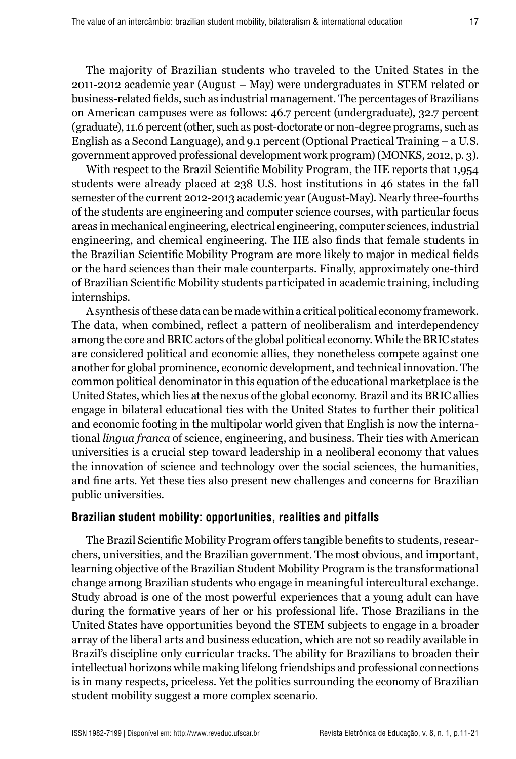The majority of Brazilian students who traveled to the United States in the 2011-2012 academic year (August – May) were undergraduates in STEM related or business-related fields, such as industrial management. The percentages of Brazilians on American campuses were as follows: 46.7 percent (undergraduate), 32.7 percent (graduate), 11.6 percent (other, such as post-doctorate or non-degree programs, such as English as a Second Language), and 9.1 percent (Optional Practical Training – a U.S. government approved professional development work program) (MONKS, 2012, p. 3).

With respect to the Brazil Scientific Mobility Program, the IIE reports that 1,954 students were already placed at 238 U.S. host institutions in 46 states in the fall semester of the current 2012-2013 academic year (August-May). Nearly three-fourths of the students are engineering and computer science courses, with particular focus areas in mechanical engineering, electrical engineering, computer sciences, industrial engineering, and chemical engineering. The IIE also finds that female students in the Brazilian Scientific Mobility Program are more likely to major in medical fields or the hard sciences than their male counterparts. Finally, approximately one-third of Brazilian Scientific Mobility students participated in academic training, including internships.

A synthesis of these data can be made within a critical political economy framework. The data, when combined, reflect a pattern of neoliberalism and interdependency among the core and BRIC actors of the global political economy. While the BRIC states are considered political and economic allies, they nonetheless compete against one another for global prominence, economic development, and technical innovation. The common political denominator in this equation of the educational marketplace is the United States, which lies at the nexus of the global economy. Brazil and its BRIC allies engage in bilateral educational ties with the United States to further their political and economic footing in the multipolar world given that English is now the international *lingua franca* of science, engineering, and business. Their ties with American universities is a crucial step toward leadership in a neoliberal economy that values the innovation of science and technology over the social sciences, the humanities, and fine arts. Yet these ties also present new challenges and concerns for Brazilian public universities.

#### **Brazilian student mobility: opportunities, realities and pitfalls**

The Brazil Scientific Mobility Program offers tangible benefits to students, researchers, universities, and the Brazilian government. The most obvious, and important, learning objective of the Brazilian Student Mobility Program is the transformational change among Brazilian students who engage in meaningful intercultural exchange. Study abroad is one of the most powerful experiences that a young adult can have during the formative years of her or his professional life. Those Brazilians in the United States have opportunities beyond the STEM subjects to engage in a broader array of the liberal arts and business education, which are not so readily available in Brazil's discipline only curricular tracks. The ability for Brazilians to broaden their intellectual horizons while making lifelong friendships and professional connections is in many respects, priceless. Yet the politics surrounding the economy of Brazilian student mobility suggest a more complex scenario.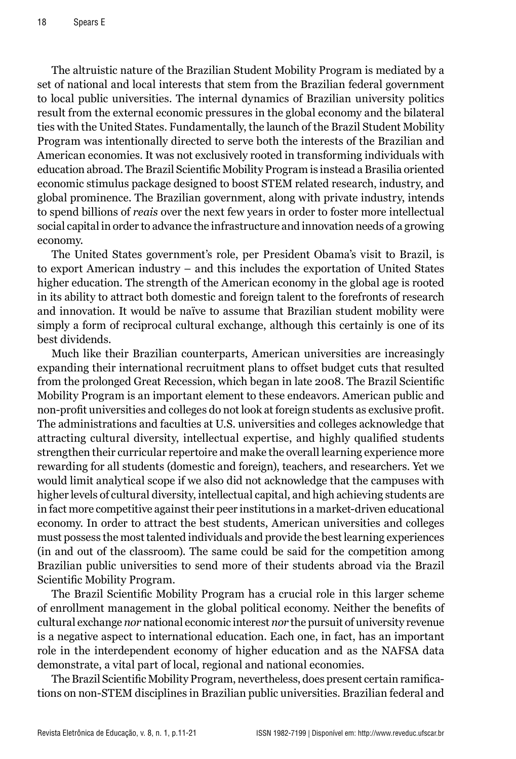The altruistic nature of the Brazilian Student Mobility Program is mediated by a set of national and local interests that stem from the Brazilian federal government to local public universities. The internal dynamics of Brazilian university politics result from the external economic pressures in the global economy and the bilateral ties with the United States. Fundamentally, the launch of the Brazil Student Mobility Program was intentionally directed to serve both the interests of the Brazilian and American economies. It was not exclusively rooted in transforming individuals with education abroad. The Brazil Scientific Mobility Program is instead a Brasilia oriented economic stimulus package designed to boost STEM related research, industry, and global prominence. The Brazilian government, along with private industry, intends to spend billions of *reais* over the next few years in order to foster more intellectual social capital in order to advance the infrastructure and innovation needs of a growing economy.

The United States government's role, per President Obama's visit to Brazil, is to export American industry – and this includes the exportation of United States higher education. The strength of the American economy in the global age is rooted in its ability to attract both domestic and foreign talent to the forefronts of research and innovation. It would be naïve to assume that Brazilian student mobility were simply a form of reciprocal cultural exchange, although this certainly is one of its best dividends.

Much like their Brazilian counterparts, American universities are increasingly expanding their international recruitment plans to offset budget cuts that resulted from the prolonged Great Recession, which began in late 2008. The Brazil Scientific Mobility Program is an important element to these endeavors. American public and non-profit universities and colleges do not look at foreign students as exclusive profit. The administrations and faculties at U.S. universities and colleges acknowledge that attracting cultural diversity, intellectual expertise, and highly qualified students strengthen their curricular repertoire and make the overall learning experience more rewarding for all students (domestic and foreign), teachers, and researchers. Yet we would limit analytical scope if we also did not acknowledge that the campuses with higher levels of cultural diversity, intellectual capital, and high achieving students are in fact more competitive against their peer institutions in a market-driven educational economy. In order to attract the best students, American universities and colleges must possess the most talented individuals and provide the best learning experiences (in and out of the classroom). The same could be said for the competition among Brazilian public universities to send more of their students abroad via the Brazil Scientific Mobility Program.

The Brazil Scientific Mobility Program has a crucial role in this larger scheme of enrollment management in the global political economy. Neither the benefits of cultural exchange *nor* national economic interest *nor* the pursuit of university revenue is a negative aspect to international education. Each one, in fact, has an important role in the interdependent economy of higher education and as the NAFSA data demonstrate, a vital part of local, regional and national economies.

The Brazil Scientific Mobility Program, nevertheless, does present certain ramifications on non-STEM disciplines in Brazilian public universities. Brazilian federal and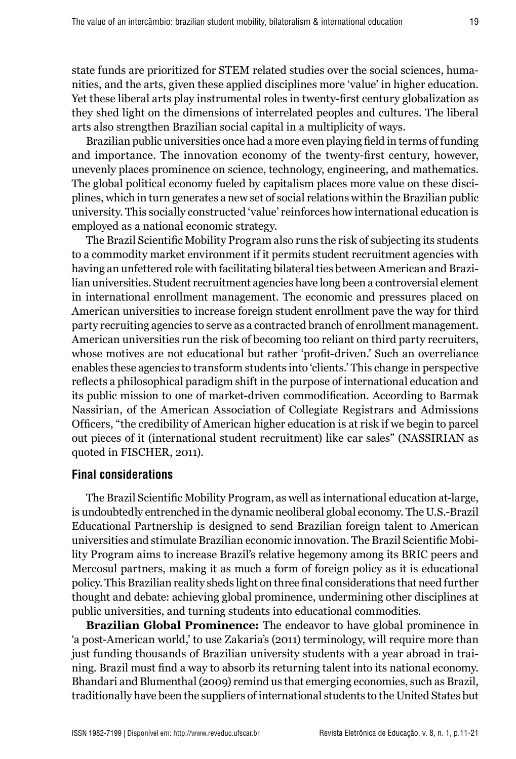state funds are prioritized for STEM related studies over the social sciences, humanities, and the arts, given these applied disciplines more 'value' in higher education. Yet these liberal arts play instrumental roles in twenty-first century globalization as they shed light on the dimensions of interrelated peoples and cultures. The liberal arts also strengthen Brazilian social capital in a multiplicity of ways.

Brazilian public universities once had a more even playing field in terms of funding and importance. The innovation economy of the twenty-first century, however, unevenly places prominence on science, technology, engineering, and mathematics. The global political economy fueled by capitalism places more value on these disciplines, which in turn generates a new set of social relations within the Brazilian public university. This socially constructed 'value' reinforces how international education is employed as a national economic strategy.

The Brazil Scientific Mobility Program also runs the risk of subjecting its students to a commodity market environment if it permits student recruitment agencies with having an unfettered role with facilitating bilateral ties between American and Brazilian universities. Student recruitment agencies have long been a controversial element in international enrollment management. The economic and pressures placed on American universities to increase foreign student enrollment pave the way for third party recruiting agencies to serve as a contracted branch of enrollment management. American universities run the risk of becoming too reliant on third party recruiters, whose motives are not educational but rather 'profit-driven.' Such an overreliance enables these agencies to transform students into 'clients.' This change in perspective reflects a philosophical paradigm shift in the purpose of international education and its public mission to one of market-driven commodification. According to Barmak Nassirian, of the American Association of Collegiate Registrars and Admissions Officers, "the credibility of American higher education is at risk if we begin to parcel out pieces of it (international student recruitment) like car sales" (NASSIRIAN as quoted in FISCHER, 2011).

### **Final considerations**

The Brazil Scientific Mobility Program, as well as international education at-large, is undoubtedly entrenched in the dynamic neoliberal global economy. The U.S.-Brazil Educational Partnership is designed to send Brazilian foreign talent to American universities and stimulate Brazilian economic innovation. The Brazil Scientific Mobility Program aims to increase Brazil's relative hegemony among its BRIC peers and Mercosul partners, making it as much a form of foreign policy as it is educational policy. This Brazilian reality sheds light on three final considerations that need further thought and debate: achieving global prominence, undermining other disciplines at public universities, and turning students into educational commodities.

**Brazilian Global Prominence:** The endeavor to have global prominence in 'a post-American world,' to use Zakaria's (2011) terminology, will require more than just funding thousands of Brazilian university students with a year abroad in training. Brazil must find a way to absorb its returning talent into its national economy. Bhandari and Blumenthal (2009) remind us that emerging economies, such as Brazil, traditionally have been the suppliers of international students to the United States but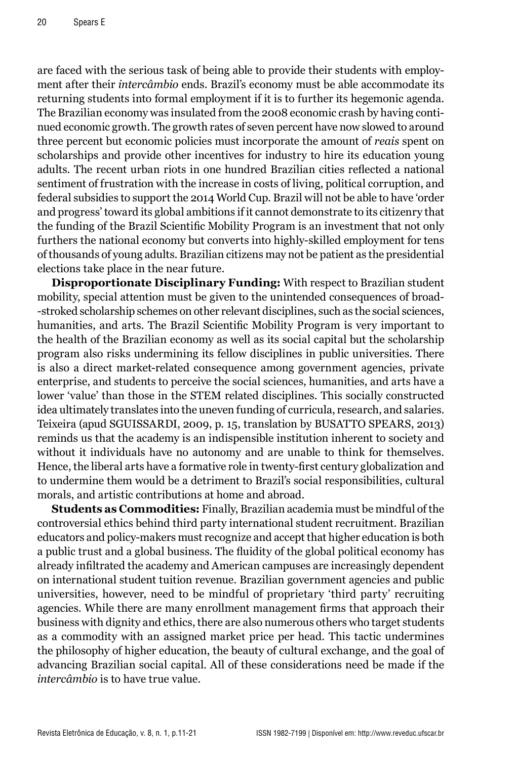are faced with the serious task of being able to provide their students with employment after their *intercâmbio* ends. Brazil's economy must be able accommodate its returning students into formal employment if it is to further its hegemonic agenda. The Brazilian economy was insulated from the 2008 economic crash by having continued economic growth. The growth rates of seven percent have now slowed to around three percent but economic policies must incorporate the amount of *reais* spent on scholarships and provide other incentives for industry to hire its education young adults. The recent urban riots in one hundred Brazilian cities reflected a national sentiment of frustration with the increase in costs of living, political corruption, and federal subsidies to support the 2014 World Cup. Brazil will not be able to have 'order and progress' toward its global ambitions if it cannot demonstrate to its citizenry that the funding of the Brazil Scientific Mobility Program is an investment that not only furthers the national economy but converts into highly-skilled employment for tens of thousands of young adults. Brazilian citizens may not be patient as the presidential elections take place in the near future.

**Disproportionate Disciplinary Funding:** With respect to Brazilian student mobility, special attention must be given to the unintended consequences of broad- -stroked scholarship schemes on other relevant disciplines, such as the social sciences, humanities, and arts. The Brazil Scientific Mobility Program is very important to the health of the Brazilian economy as well as its social capital but the scholarship program also risks undermining its fellow disciplines in public universities. There is also a direct market-related consequence among government agencies, private enterprise, and students to perceive the social sciences, humanities, and arts have a lower 'value' than those in the STEM related disciplines. This socially constructed idea ultimately translates into the uneven funding of curricula, research, and salaries. Teixeira (apud SGUISSARDI, 2009, p. 15, translation by BUSATTO SPEARS, 2013) reminds us that the academy is an indispensible institution inherent to society and without it individuals have no autonomy and are unable to think for themselves. Hence, the liberal arts have a formative role in twenty-first century globalization and to undermine them would be a detriment to Brazil's social responsibilities, cultural morals, and artistic contributions at home and abroad.

**Students as Commodities:** Finally, Brazilian academia must be mindful of the controversial ethics behind third party international student recruitment. Brazilian educators and policy-makers must recognize and accept that higher education is both a public trust and a global business. The fluidity of the global political economy has already infiltrated the academy and American campuses are increasingly dependent on international student tuition revenue. Brazilian government agencies and public universities, however, need to be mindful of proprietary 'third party' recruiting agencies. While there are many enrollment management firms that approach their business with dignity and ethics, there are also numerous others who target students as a commodity with an assigned market price per head. This tactic undermines the philosophy of higher education, the beauty of cultural exchange, and the goal of advancing Brazilian social capital. All of these considerations need be made if the *intercâmbio* is to have true value.